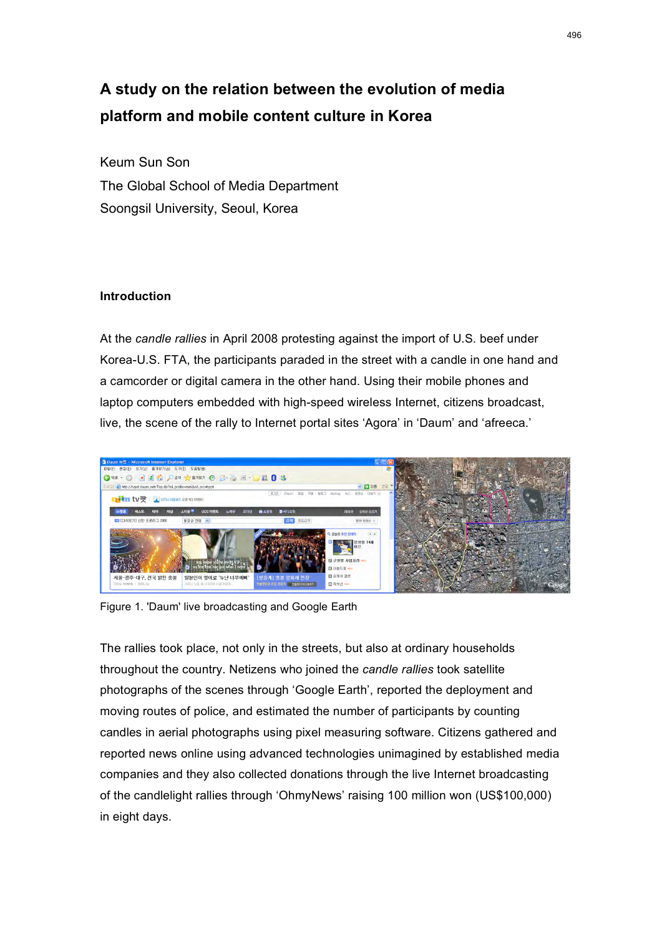# **A study on the relation between the evolution of media platform and mobile content culture in Korea**

Keum Sun Son The Global School of Media Department Soongsil University, Seoul, Korea

# **Introduction**

At the *candle rallies* in April 2008 protesting against the import of U.S. beef under Korea-U.S. FTA, the participants paraded in the street with a candle in one hand and a camcorder or digital camera in the other hand. Using their mobile phones and laptop computers embedded with high-speed wireless Internet, citizens broadcast, live, the scene of the rally to Internet portal sites 'Agora' in 'Daum' and 'afreeca.'



Figure 1. 'Daum' live broadcasting and Google Earth

The rallies took place, not only in the streets, but also at ordinary households throughout the country. Netizens who joined the *candle rallies* took satellite photographs of the scenes through 'Google Earth', reported the deployment and moving routes of police, and estimated the number of participants by counting candles in aerial photographs using pixel measuring software. Citizens gathered and reported news online using advanced technologies unimagined by established media companies and they also collected donations through the live Internet broadcasting of the candlelight rallies through 'OhmyNews' raising 100 million won (US\$100,000) in eight days.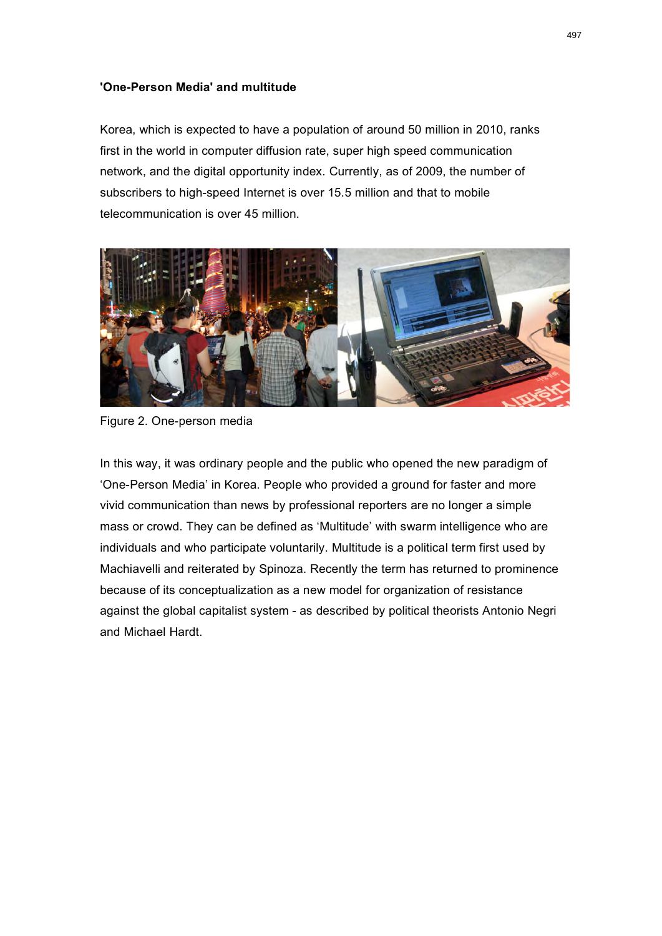### **'One-Person Media' and multitude**

Korea, which is expected to have a population of around 50 million in 2010, ranks first in the world in computer diffusion rate, super high speed communication network, and the digital opportunity index. Currently, as of 2009, the number of subscribers to high-speed Internet is over 15.5 million and that to mobile telecommunication is over 45 million.



Figure 2. One-person media

In this way, it was ordinary people and the public who opened the new paradigm of 'One-Person Media' in Korea. People who provided a ground for faster and more vivid communication than news by professional reporters are no longer a simple mass or crowd. They can be defined as 'Multitude' with swarm intelligence who are individuals and who participate voluntarily. Multitude is a political term first used by Machiavelli and reiterated by Spinoza. Recently the term has returned to prominence because of its conceptualization as a new model for organization of resistance against the global capitalist system - as described by political theorists Antonio Negri and Michael Hardt.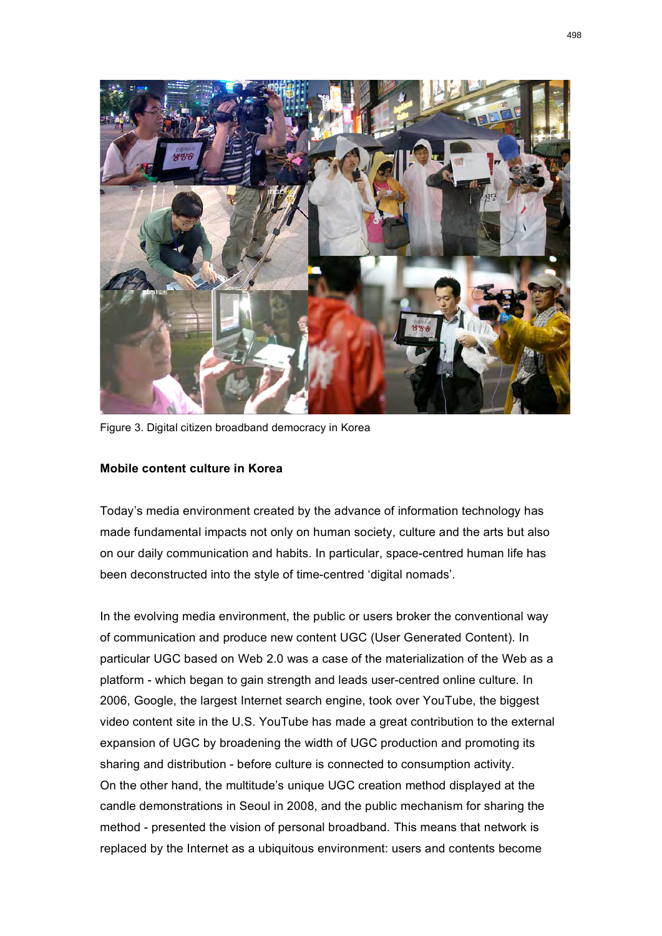

Figure 3. Digital citizen broadband democracy in Korea

#### **Mobile content culture in Korea**

Today's media environment created by the advance of information technology has made fundamental impacts not only on human society, culture and the arts but also on our daily communication and habits. In particular, space-centred human life has been deconstructed into the style of time-centred 'digital nomads'.

In the evolving media environment, the public or users broker the conventional way of communication and produce new content UGC (User Generated Content). In particular UGC based on Web 2.0 was a case of the materialization of the Web as a platform - which began to gain strength and leads user-centred online culture. In 2006, Google, the largest Internet search engine, took over YouTube, the biggest video content site in the U.S. YouTube has made a great contribution to the external expansion of UGC by broadening the width of UGC production and promoting its sharing and distribution - before culture is connected to consumption activity. On the other hand, the multitude's unique UGC creation method displayed at the candle demonstrations in Seoul in 2008, and the public mechanism for sharing the method - presented the vision of personal broadband. This means that network is replaced by the Internet as a ubiquitous environment: users and contents become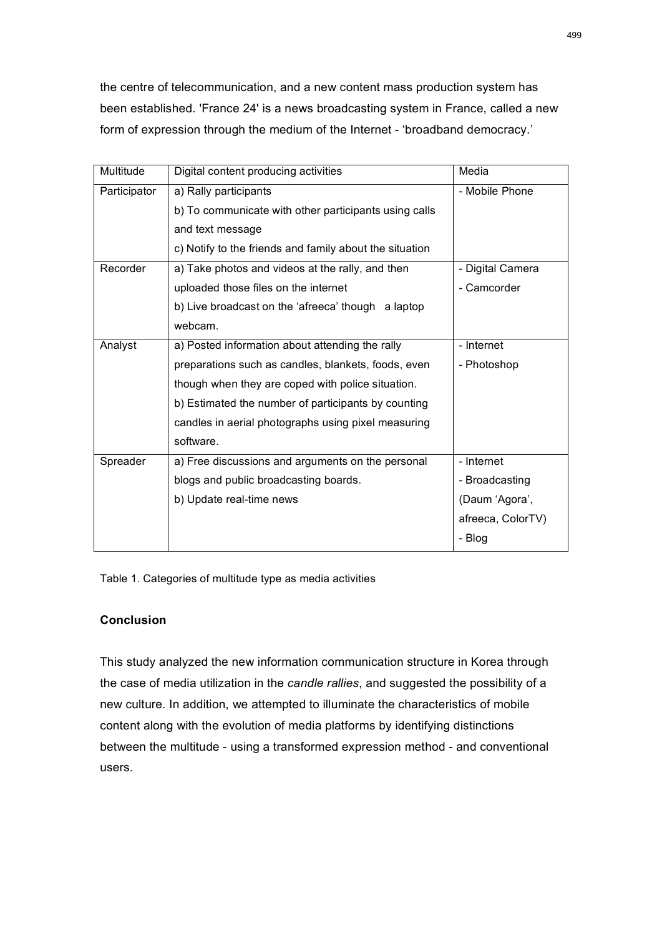the centre of telecommunication, and a new content mass production system has been established. 'France 24' is a news broadcasting system in France, called a new form of expression through the medium of the Internet - 'broadband democracy.'

| Multitude    | Digital content producing activities                    | Media             |
|--------------|---------------------------------------------------------|-------------------|
| Participator | a) Rally participants                                   | - Mobile Phone    |
|              | b) To communicate with other participants using calls   |                   |
|              | and text message                                        |                   |
|              | c) Notify to the friends and family about the situation |                   |
| Recorder     | a) Take photos and videos at the rally, and then        | - Digital Camera  |
|              | uploaded those files on the internet                    | - Camcorder       |
|              | b) Live broadcast on the 'afreeca' though a laptop      |                   |
|              | webcam.                                                 |                   |
| Analyst      | a) Posted information about attending the rally         | - Internet        |
|              | preparations such as candles, blankets, foods, even     | - Photoshop       |
|              | though when they are coped with police situation.       |                   |
|              | b) Estimated the number of participants by counting     |                   |
|              | candles in aerial photographs using pixel measuring     |                   |
|              | software.                                               |                   |
| Spreader     | a) Free discussions and arguments on the personal       | - Internet        |
|              | blogs and public broadcasting boards.                   | - Broadcasting    |
|              | b) Update real-time news                                | (Daum 'Agora',    |
|              |                                                         | afreeca, ColorTV) |
|              |                                                         | - Blog            |

Table 1. Categories of multitude type as media activities

# **Conclusion**

This study analyzed the new information communication structure in Korea through the case of media utilization in the *candle rallies*, and suggested the possibility of a new culture. In addition, we attempted to illuminate the characteristics of mobile content along with the evolution of media platforms by identifying distinctions between the multitude - using a transformed expression method - and conventional users.